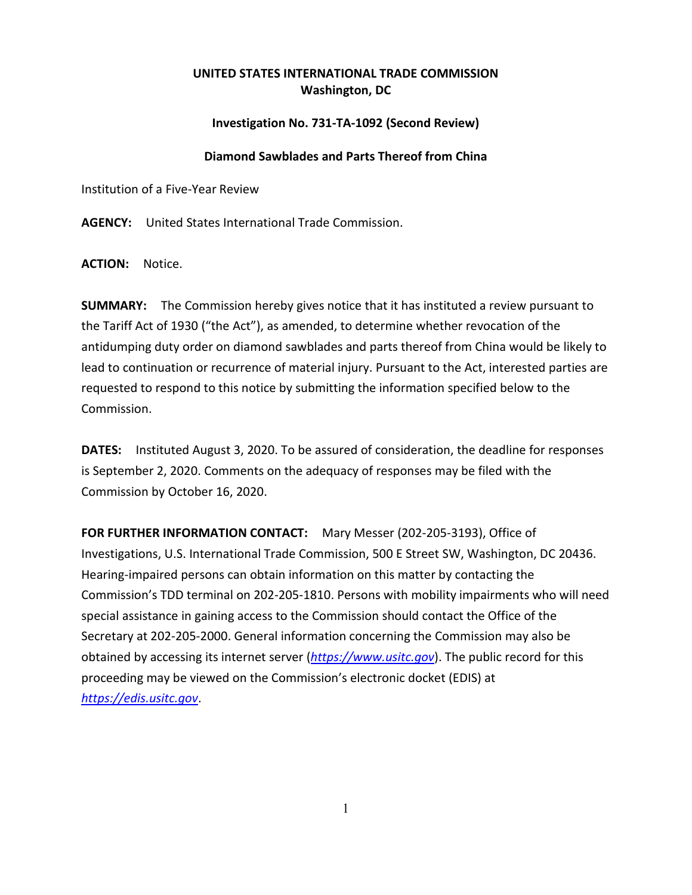## **UNITED STATES INTERNATIONAL TRADE COMMISSION Washington, DC**

### **Investigation No. 731-TA-1092 (Second Review)**

#### **Diamond Sawblades and Parts Thereof from China**

Institution of a Five-Year Review

**AGENCY:** United States International Trade Commission.

**ACTION:** Notice.

**SUMMARY:** The Commission hereby gives notice that it has instituted a review pursuant to the Tariff Act of 1930 ("the Act"), as amended, to determine whether revocation of the antidumping duty order on diamond sawblades and parts thereof from China would be likely to lead to continuation or recurrence of material injury. Pursuant to the Act, interested parties are requested to respond to this notice by submitting the information specified below to the Commission.

**DATES:** Instituted August 3, 2020. To be assured of consideration, the deadline for responses is September 2, 2020. Comments on the adequacy of responses may be filed with the Commission by October 16, 2020.

**FOR FURTHER INFORMATION CONTACT:** Mary Messer (202-205-3193), Office of Investigations, U.S. International Trade Commission, 500 E Street SW, Washington, DC 20436. Hearing-impaired persons can obtain information on this matter by contacting the Commission's TDD terminal on 202-205-1810. Persons with mobility impairments who will need special assistance in gaining access to the Commission should contact the Office of the Secretary at 202-205-2000. General information concerning the Commission may also be obtained by accessing its internet server (*[https://www.usitc.gov](https://www.usitc.gov/)*). The public record for this proceeding may be viewed on the Commission's electronic docket (EDIS) at *[https://edis.usitc.gov](https://edis.usitc.gov/)*.

1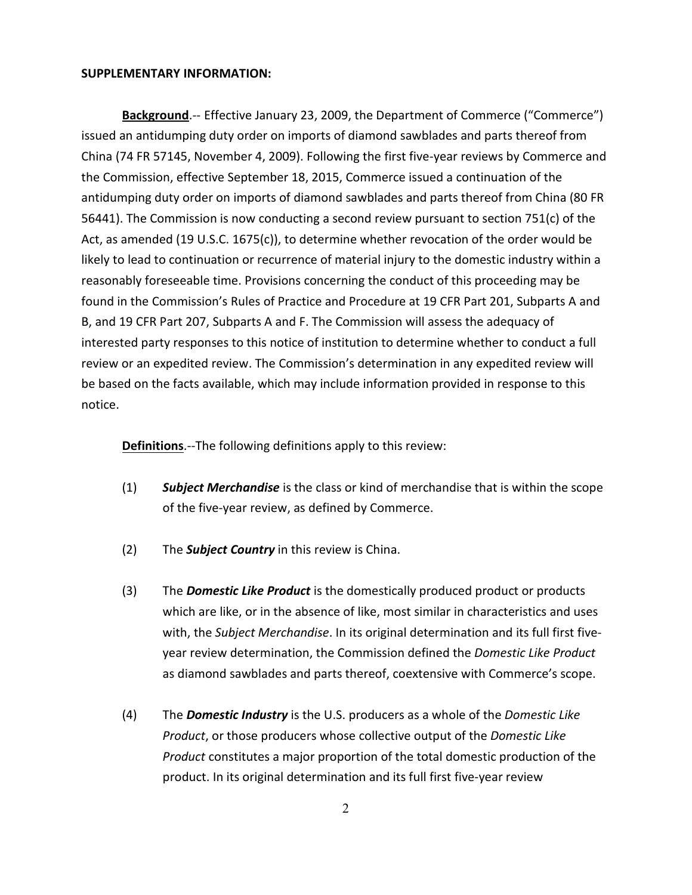#### **SUPPLEMENTARY INFORMATION:**

**Background**.-- Effective January 23, 2009, the Department of Commerce ("Commerce") issued an antidumping duty order on imports of diamond sawblades and parts thereof from China (74 FR 57145, November 4, 2009). Following the first five-year reviews by Commerce and the Commission, effective September 18, 2015, Commerce issued a continuation of the antidumping duty order on imports of diamond sawblades and parts thereof from China (80 FR 56441). The Commission is now conducting a second review pursuant to section 751(c) of the Act, as amended (19 U.S.C. 1675(c)), to determine whether revocation of the order would be likely to lead to continuation or recurrence of material injury to the domestic industry within a reasonably foreseeable time. Provisions concerning the conduct of this proceeding may be found in the Commission's Rules of Practice and Procedure at 19 CFR Part 201, Subparts A and B, and 19 CFR Part 207, Subparts A and F. The Commission will assess the adequacy of interested party responses to this notice of institution to determine whether to conduct a full review or an expedited review. The Commission's determination in any expedited review will be based on the facts available, which may include information provided in response to this notice.

**Definitions**.--The following definitions apply to this review:

- (1) *Subject Merchandise* is the class or kind of merchandise that is within the scope of the five-year review, as defined by Commerce.
- (2) The *Subject Country* in this review is China.
- (3) The *Domestic Like Product* is the domestically produced product or products which are like, or in the absence of like, most similar in characteristics and uses with, the *Subject Merchandise*. In its original determination and its full first fiveyear review determination, the Commission defined the *Domestic Like Product* as diamond sawblades and parts thereof, coextensive with Commerce's scope.
- (4) The *Domestic Industry* is the U.S. producers as a whole of the *Domestic Like Product*, or those producers whose collective output of the *Domestic Like Product* constitutes a major proportion of the total domestic production of the product. In its original determination and its full first five-year review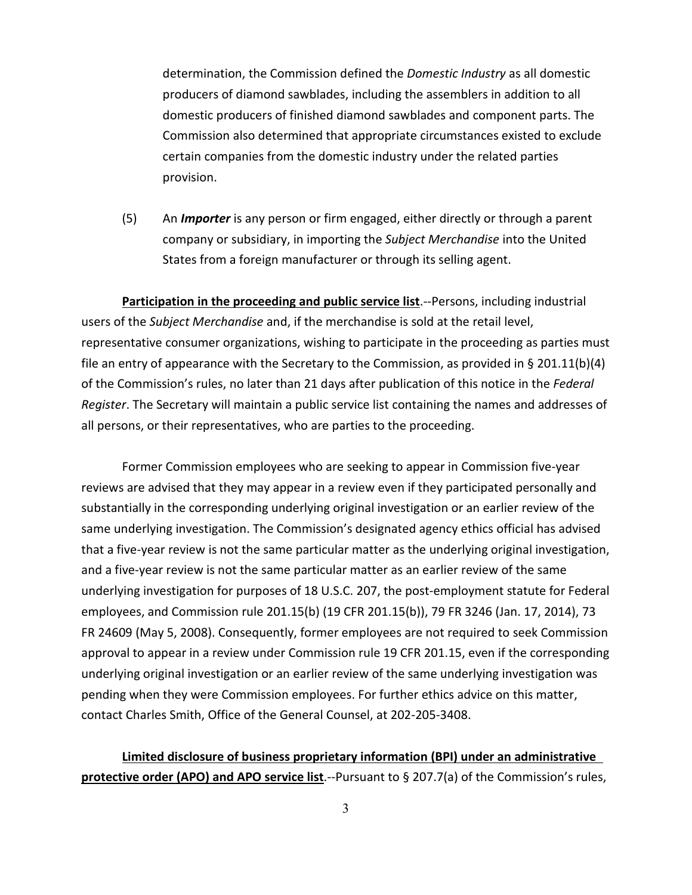determination, the Commission defined the *Domestic Industry* as all domestic producers of diamond sawblades, including the assemblers in addition to all domestic producers of finished diamond sawblades and component parts. The Commission also determined that appropriate circumstances existed to exclude certain companies from the domestic industry under the related parties provision.

(5) An *Importer* is any person or firm engaged, either directly or through a parent company or subsidiary, in importing the *Subject Merchandise* into the United States from a foreign manufacturer or through its selling agent.

**Participation in the proceeding and public service list**.--Persons, including industrial users of the *Subject Merchandise* and, if the merchandise is sold at the retail level, representative consumer organizations, wishing to participate in the proceeding as parties must file an entry of appearance with the Secretary to the Commission, as provided in § 201.11(b)(4) of the Commission's rules, no later than 21 days after publication of this notice in the *Federal Register*. The Secretary will maintain a public service list containing the names and addresses of all persons, or their representatives, who are parties to the proceeding.

Former Commission employees who are seeking to appear in Commission five-year reviews are advised that they may appear in a review even if they participated personally and substantially in the corresponding underlying original investigation or an earlier review of the same underlying investigation. The Commission's designated agency ethics official has advised that a five-year review is not the same particular matter as the underlying original investigation, and a five-year review is not the same particular matter as an earlier review of the same underlying investigation for purposes of 18 U.S.C. 207, the post-employment statute for Federal employees, and Commission rule 201.15(b) (19 CFR 201.15(b)), 79 FR 3246 (Jan. 17, 2014), 73 FR 24609 (May 5, 2008). Consequently, former employees are not required to seek Commission approval to appear in a review under Commission rule 19 CFR 201.15, even if the corresponding underlying original investigation or an earlier review of the same underlying investigation was pending when they were Commission employees. For further ethics advice on this matter, contact Charles Smith, Office of the General Counsel, at 202-205-3408.

# **Limited disclosure of business proprietary information (BPI) under an administrative protective order (APO) and APO service list**.--Pursuant to § 207.7(a) of the Commission's rules,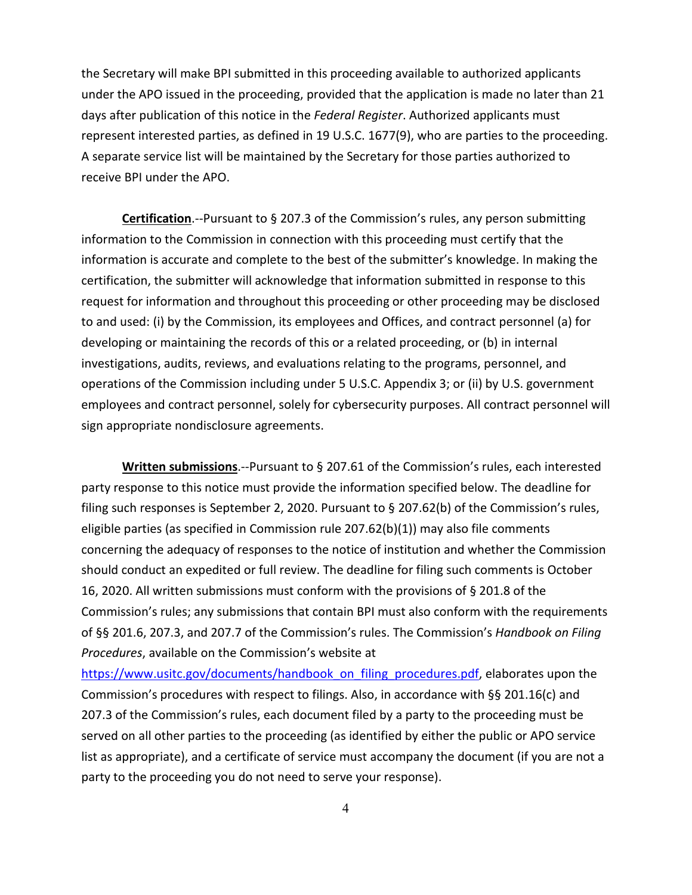the Secretary will make BPI submitted in this proceeding available to authorized applicants under the APO issued in the proceeding, provided that the application is made no later than 21 days after publication of this notice in the *Federal Register*. Authorized applicants must represent interested parties, as defined in 19 U.S.C. 1677(9), who are parties to the proceeding. A separate service list will be maintained by the Secretary for those parties authorized to receive BPI under the APO.

**Certification**.--Pursuant to § 207.3 of the Commission's rules, any person submitting information to the Commission in connection with this proceeding must certify that the information is accurate and complete to the best of the submitter's knowledge. In making the certification, the submitter will acknowledge that information submitted in response to this request for information and throughout this proceeding or other proceeding may be disclosed to and used: (i) by the Commission, its employees and Offices, and contract personnel (a) for developing or maintaining the records of this or a related proceeding, or (b) in internal investigations, audits, reviews, and evaluations relating to the programs, personnel, and operations of the Commission including under 5 U.S.C. Appendix 3; or (ii) by U.S. government employees and contract personnel, solely for cybersecurity purposes. All contract personnel will sign appropriate nondisclosure agreements.

**Written submissions**.--Pursuant to § 207.61 of the Commission's rules, each interested party response to this notice must provide the information specified below. The deadline for filing such responses is September 2, 2020. Pursuant to § 207.62(b) of the Commission's rules, eligible parties (as specified in Commission rule 207.62(b)(1)) may also file comments concerning the adequacy of responses to the notice of institution and whether the Commission should conduct an expedited or full review. The deadline for filing such comments is October 16, 2020. All written submissions must conform with the provisions of § 201.8 of the Commission's rules; any submissions that contain BPI must also conform with the requirements of §§ 201.6, 207.3, and 207.7 of the Commission's rules. The Commission's *Handbook on Filing Procedures*, available on the Commission's website at

[https://www.usitc.gov/documents/handbook\\_on\\_filing\\_procedures.pdf,](https://www.usitc.gov/documents/handbook_on_filing_procedures.pdf) elaborates upon the Commission's procedures with respect to filings. Also, in accordance with §§ 201.16(c) and 207.3 of the Commission's rules, each document filed by a party to the proceeding must be served on all other parties to the proceeding (as identified by either the public or APO service list as appropriate), and a certificate of service must accompany the document (if you are not a party to the proceeding you do not need to serve your response).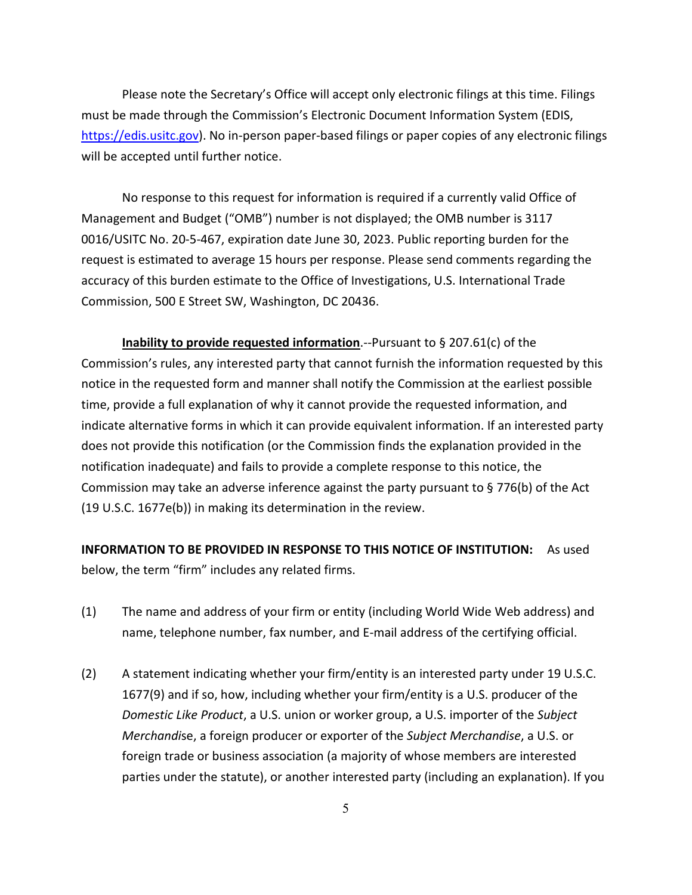Please note the Secretary's Office will accept only electronic filings at this time. Filings must be made through the Commission's Electronic Document Information System (EDIS, [https://edis.usitc.gov\)](https://edis.usitc.gov/). No in-person paper-based filings or paper copies of any electronic filings will be accepted until further notice.

No response to this request for information is required if a currently valid Office of Management and Budget ("OMB") number is not displayed; the OMB number is 3117 0016/USITC No. 20-5-467, expiration date June 30, 2023. Public reporting burden for the request is estimated to average 15 hours per response. Please send comments regarding the accuracy of this burden estimate to the Office of Investigations, U.S. International Trade Commission, 500 E Street SW, Washington, DC 20436.

**Inability to provide requested information**.--Pursuant to § 207.61(c) of the Commission's rules, any interested party that cannot furnish the information requested by this notice in the requested form and manner shall notify the Commission at the earliest possible time, provide a full explanation of why it cannot provide the requested information, and indicate alternative forms in which it can provide equivalent information. If an interested party does not provide this notification (or the Commission finds the explanation provided in the notification inadequate) and fails to provide a complete response to this notice, the Commission may take an adverse inference against the party pursuant to § 776(b) of the Act (19 U.S.C. 1677e(b)) in making its determination in the review.

**INFORMATION TO BE PROVIDED IN RESPONSE TO THIS NOTICE OF INSTITUTION:** As used below, the term "firm" includes any related firms.

- (1) The name and address of your firm or entity (including World Wide Web address) and name, telephone number, fax number, and E-mail address of the certifying official.
- (2) A statement indicating whether your firm/entity is an interested party under 19 U.S.C. 1677(9) and if so, how, including whether your firm/entity is a U.S. producer of the *Domestic Like Product*, a U.S. union or worker group, a U.S. importer of the *Subject Merchandi*se, a foreign producer or exporter of the *Subject Merchandise*, a U.S. or foreign trade or business association (a majority of whose members are interested parties under the statute), or another interested party (including an explanation). If you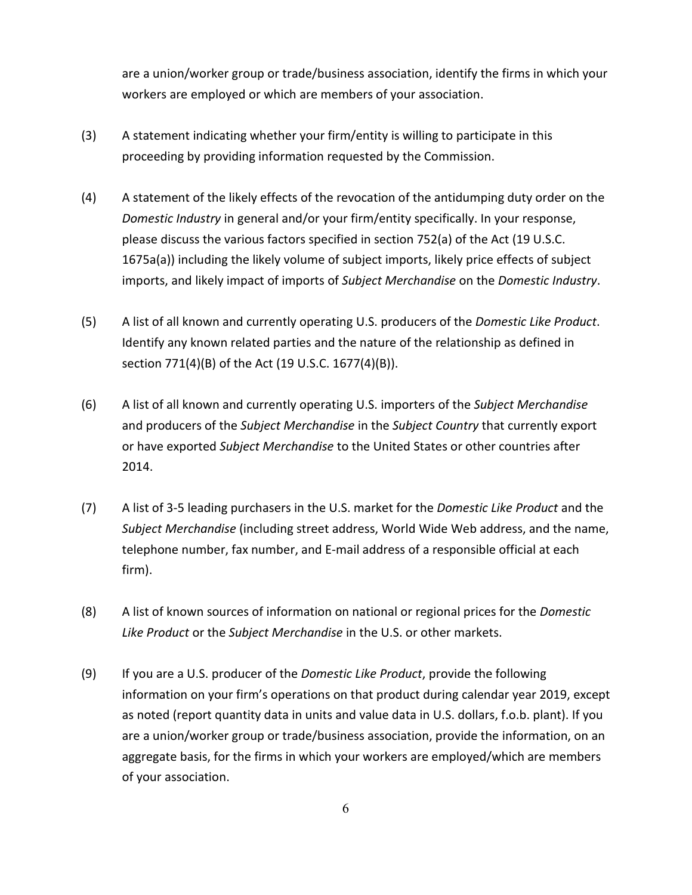are a union/worker group or trade/business association, identify the firms in which your workers are employed or which are members of your association.

- (3) A statement indicating whether your firm/entity is willing to participate in this proceeding by providing information requested by the Commission.
- (4) A statement of the likely effects of the revocation of the antidumping duty order on the *Domestic Industry* in general and/or your firm/entity specifically. In your response, please discuss the various factors specified in section 752(a) of the Act (19 U.S.C. 1675a(a)) including the likely volume of subject imports, likely price effects of subject imports, and likely impact of imports of *Subject Merchandise* on the *Domestic Industry*.
- (5) A list of all known and currently operating U.S. producers of the *Domestic Like Product*. Identify any known related parties and the nature of the relationship as defined in section 771(4)(B) of the Act (19 U.S.C. 1677(4)(B)).
- (6) A list of all known and currently operating U.S. importers of the *Subject Merchandise* and producers of the *Subject Merchandise* in the *Subject Country* that currently export or have exported *Subject Merchandise* to the United States or other countries after 2014.
- (7) A list of 3-5 leading purchasers in the U.S. market for the *Domestic Like Product* and the *Subject Merchandise* (including street address, World Wide Web address, and the name, telephone number, fax number, and E-mail address of a responsible official at each firm).
- (8) A list of known sources of information on national or regional prices for the *Domestic Like Product* or the *Subject Merchandise* in the U.S. or other markets.
- (9) If you are a U.S. producer of the *Domestic Like Product*, provide the following information on your firm's operations on that product during calendar year 2019, except as noted (report quantity data in units and value data in U.S. dollars, f.o.b. plant). If you are a union/worker group or trade/business association, provide the information, on an aggregate basis, for the firms in which your workers are employed/which are members of your association.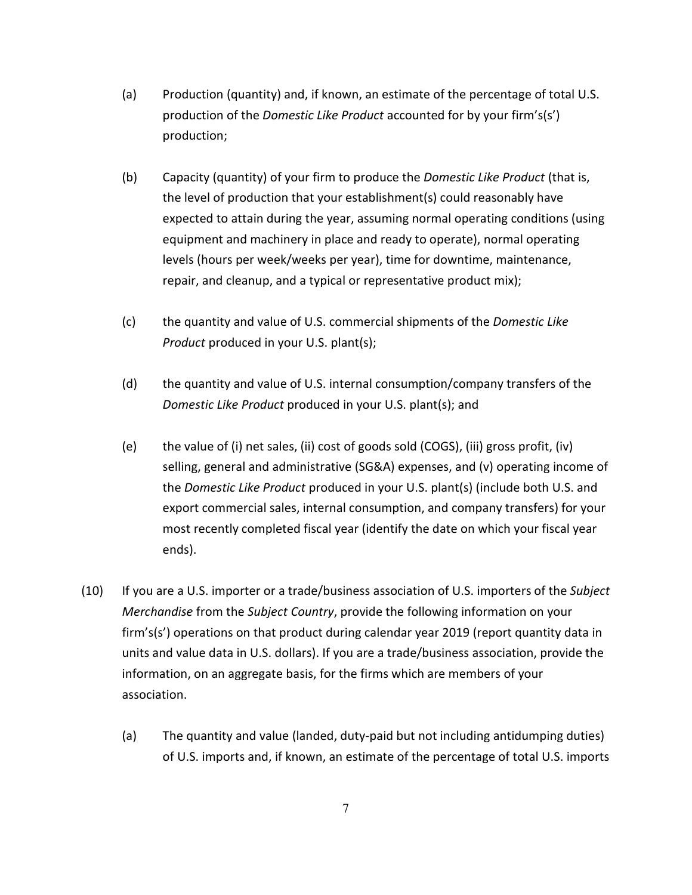- (a) Production (quantity) and, if known, an estimate of the percentage of total U.S. production of the *Domestic Like Product* accounted for by your firm's(s') production;
- (b) Capacity (quantity) of your firm to produce the *Domestic Like Product* (that is, the level of production that your establishment(s) could reasonably have expected to attain during the year, assuming normal operating conditions (using equipment and machinery in place and ready to operate), normal operating levels (hours per week/weeks per year), time for downtime, maintenance, repair, and cleanup, and a typical or representative product mix);
- (c) the quantity and value of U.S. commercial shipments of the *Domestic Like Product* produced in your U.S. plant(s);
- (d) the quantity and value of U.S. internal consumption/company transfers of the *Domestic Like Product* produced in your U.S. plant(s); and
- (e) the value of (i) net sales, (ii) cost of goods sold (COGS), (iii) gross profit, (iv) selling, general and administrative (SG&A) expenses, and (v) operating income of the *Domestic Like Product* produced in your U.S. plant(s) (include both U.S. and export commercial sales, internal consumption, and company transfers) for your most recently completed fiscal year (identify the date on which your fiscal year ends).
- (10) If you are a U.S. importer or a trade/business association of U.S. importers of the *Subject Merchandise* from the *Subject Country*, provide the following information on your firm's(s') operations on that product during calendar year 2019 (report quantity data in units and value data in U.S. dollars). If you are a trade/business association, provide the information, on an aggregate basis, for the firms which are members of your association.
	- (a) The quantity and value (landed, duty-paid but not including antidumping duties) of U.S. imports and, if known, an estimate of the percentage of total U.S. imports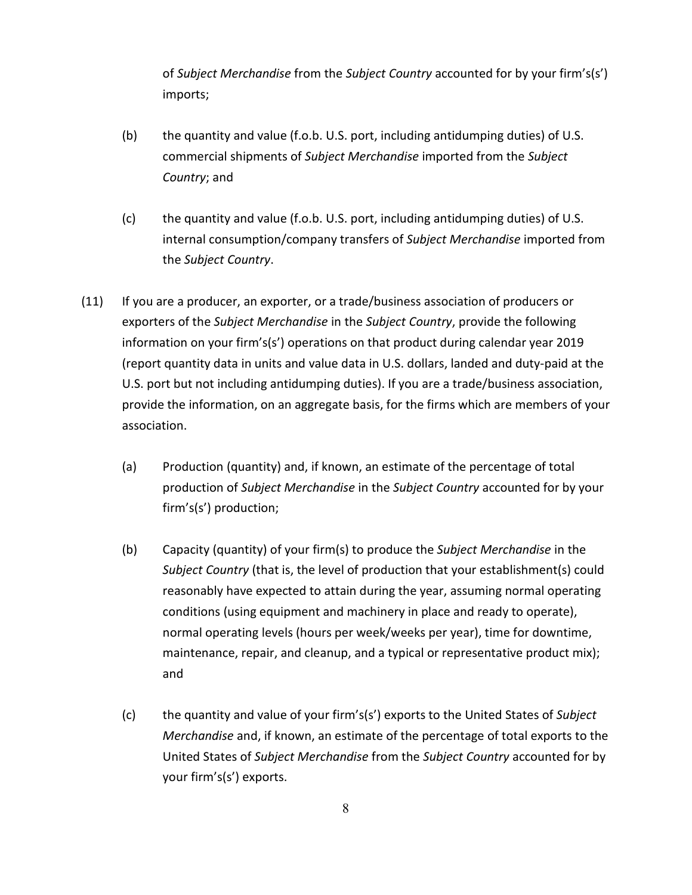of *Subject Merchandise* from the *Subject Country* accounted for by your firm's(s') imports;

- (b) the quantity and value (f.o.b. U.S. port, including antidumping duties) of U.S. commercial shipments of *Subject Merchandise* imported from the *Subject Country*; and
- (c) the quantity and value (f.o.b. U.S. port, including antidumping duties) of U.S. internal consumption/company transfers of *Subject Merchandise* imported from the *Subject Country*.
- (11) If you are a producer, an exporter, or a trade/business association of producers or exporters of the *Subject Merchandise* in the *Subject Country*, provide the following information on your firm's(s') operations on that product during calendar year 2019 (report quantity data in units and value data in U.S. dollars, landed and duty-paid at the U.S. port but not including antidumping duties). If you are a trade/business association, provide the information, on an aggregate basis, for the firms which are members of your association.
	- (a) Production (quantity) and, if known, an estimate of the percentage of total production of *Subject Merchandise* in the *Subject Country* accounted for by your firm's(s') production;
	- (b) Capacity (quantity) of your firm(s) to produce the *Subject Merchandise* in the *Subject Country* (that is, the level of production that your establishment(s) could reasonably have expected to attain during the year, assuming normal operating conditions (using equipment and machinery in place and ready to operate), normal operating levels (hours per week/weeks per year), time for downtime, maintenance, repair, and cleanup, and a typical or representative product mix); and
	- (c) the quantity and value of your firm's(s') exports to the United States of *Subject Merchandise* and, if known, an estimate of the percentage of total exports to the United States of *Subject Merchandise* from the *Subject Country* accounted for by your firm's(s') exports.